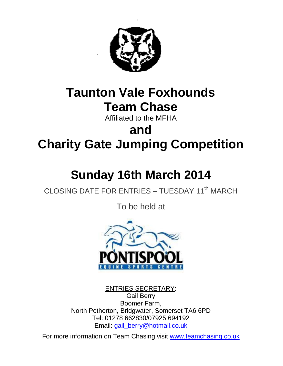

# **Taunton Vale Foxhounds Team Chase**

Affiliated to the MFHA

# **and Charity Gate Jumping Competition**

# **Sunday 16th March 2014**

# CLOSING DATE FOR ENTRIES - TUESDAY 11<sup>th</sup> MARCH

To be held at



ENTRIES SECRETARY: Gail Berry Boomer Farm, North Petherton, Bridgwater, Somerset TA6 6PD Tel: 01278 662830/07925 694192 Email: gail\_berry@hotmail.co.uk

For more information on Team Chasing visit [www.teamchasing.co.uk](http://www.teamchasing.co.uk/)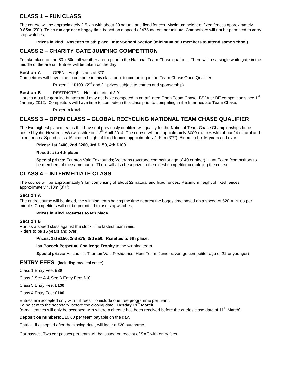# **CLASS 1 – FUN CLASS**

The course will be approximately 2.5 km with about 20 natural and fixed fences. Maximum height of fixed fences approximately 0.85m (2'9"). To be run against a bogey time based on a speed of 475 meters per minute. Competitors will not be permitted to carry stop watches.

**Prizes in kind. Rosettes to 6th place. Inter-School Section (minimum of 3 members to attend same school).**

# **CLASS 2 – CHARITY GATE JUMPING COMPETITION**

To take place on the 80 x 50m all-weather arena prior to the National Team Chase qualifier. There will be a single white gate in the middle of the arena. Entries will be taken on the day.

# **Section A** OPEN - Height starts at 3'3"

Competitors will have time to compete in this class prior to competing in the Team Chase Open Qualifier.

**Prizes:**  $1^{st}$  **£100**  $(2^{nd}$  and  $3^{rd}$  prizes subject to entries and sponsorship)

# **Section B** RESTRICTED – Height starts at 2'9"

Horses must be genuine hunters and may not have competed in an affiliated Open Team Chase, BSJA or BE competition since 1<sup>st</sup> January 2012. Competitors will have time to compete in this class prior to competing in the Intermediate Team Chase.

# **Prizes in kind.**

# **CLASS 3 – OPEN CLASS – GLOBAL RECYCLING NATIONAL TEAM CHASE QUALIFIER**

The two highest placed teams that have not previously qualified will qualify for the National Team Chase Championships to be hosted by the Heythrop, Warwickshire on 12<sup>th</sup> April 2014. The course will be approximately 3000 metres with about 24 natural and fixed fences. Speed class. Minimum height of fixed fences approximately 1.10m (3"7"). Riders to be 16 years and over.

# **Prizes: 1st £400, 2nd £200, 3rd £150, 4th £100**

## **Rosettes to 6th place**

**Special prizes:** Taunton Vale Foxhounds; Veterans (average competitor age of 40 or older); Hunt Team (competitors to be members of the same hunt). There will also be a prize to the oldest competitor completing the course.

# **CLASS 4 – INTERMEDIATE CLASS**

The course will be approximately 3 km comprising of about 22 natural and fixed fences. Maximum height of fixed fences approximately 1.10m (3"7").

# **Section A**

The entire course will be timed, the winning team having the time nearest the bogey time based on a speed of 520 metres per minute. Competitors will not be permitted to use stopwatches.

# **Prizes in Kind. Rosettes to 6th place.**

# **Section B**

Run as a speed class against the clock. The fastest team wins. Riders to be 16 years and over.

## **Prizes: 1st £150, 2nd £75, 3rd £50. Rosettes to 6th place.**

**Ian Pocock Perpetual Challenge Trophy** to the winning team.

**Special prizes:** All Ladies; Taunton Vale Foxhounds; Hunt Team; Junior (average competitor age of 21 or younger)

# **ENTRY FEES** (including medical cover)

Class 1 Entry Fee: **£80**

Class 2 Sec A & Sec B Entry Fee: **£10**

Class 3 Entry Fee: **£130**

Class 4 Entry Fee: **£100**

Entries are accepted only with full fees. To include one free programme per team. To be sent to the secretary, before the closing date **Tuesday 11 th March** (e-mail entries will only be accepted with where a cheque has been received before the entries close date of 11<sup>th</sup> March).

**Deposit on numbers**: £10.00 per team payable on the day.

Entries, if accepted after the closing date, will incur a £20 surcharge.

Car passes: Two car passes per team will be issued on receipt of SAE with entry fees.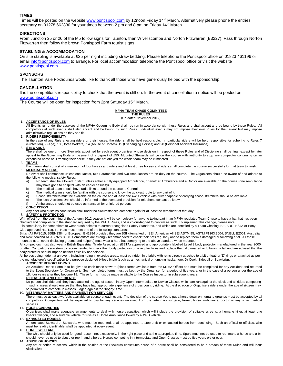# **TIMES**

Times will be posted on the website [www.pontispool.com](http://www.pontispool.com/) by 12noon Friday 14<sup>th</sup> March. Alternatively please phone the entries secretary on 01278 662830 for your times between 2 pm and 8 pm on Friday 14<sup>th</sup> March.

# **DIRECTIONS**

From Junction 25 or 26 of the M5 follow signs for Taunton, then Wiveliscombe and Norton Fitzwarren (B3227). Pass through Norton Fitzwarren then follow the brown Pontispool Farm tourist signs

# **STABLING & ACCOMMODATION**

On site stabling is available at £25 per night including straw bedding. Please telephone the Pontispool office on 01823 461196 or emai[l info@pontispool.com](mailto:info@pontispool.com) to arrange. For local accommodation telephone the Pontispool office or visit the website [www.pontispool.com](http://www.pontispool.com/)

## **SPONSORS**

The Taunton Vale Foxhounds would like to thank all those who have generously helped with the sponsorship.

## **CANCELLATION**

It is the competitor's responsibility to check that the event is still on. In the event of cancellation a notice will be posted on [www.pontispool.com](http://www.pontispool.com/)

The Course will be open for inspection from 2pm Saturday 15<sup>th</sup> March.

### **MFHA TEAM CHASE COMMITTEE**

**THE RULES** (Up-dated November 2012)

#### 1. **ACCEPTANCE OF RULES**

All Events run under the auspices of the MFHA Governing Body shall be run in accordance with these Rules and shall accept and be bound by these Rules. All competitors at such events shall also accept and be bound by such Rules. Individual events may not impose their own Rules for their event but may impose administrative regulations as they see fit.

#### 2. **RIDERS RESPONSIBILITY**

In the case of any Rule affecting riders or their horses, the rider shall be held responsible. In particular riders will be held responsible for adhering to Rules 7 (Protection), 9 (Age), 13 (Horse Welfare), 14 (Abuse of Horses), 15 (Exchanging Horses) and 20 (Personal Accident Insurance).

#### 3. **STEWARDS**

There shall be one or more Stewards appointed by each event organiser whose decision in respect of these Rules and of Discipline shall be final, except by later appeal to the Governing Body on payment of a deposit of £50. Mounted Stewards will be on the course with authority to stop any competitor continuing on an exhausted horse or ill treating their horse. If they are not obeyed the whole team may be eliminated.

#### 4. **TEAMS**

Each team shall consist of a maximum of four horses and riders and at least three horses and riders shall complete the course successfully for that team to finish. 5. **MEDICAL MATTERS**

No event shall commence unless one Doctor, two Paramedics and two Ambulances are on duty on the course. The Organisers should be aware of and adhere to the following medical safety Rules:

a) No team shall be allowed to start unless either a fully equipped Ambulance, or another Ambulance and a Doctor are available on the course (one Ambulance may have gone to hospital with an earlier casualty).

- b) The medical team should have radio links around the course to Control.
- 
- c) The medical team should be familiar with the course and know the quickest route to any part of it.<br>d) Scoop stretchers must be available on the course and at least one 4WD vehicle with driver capab d) Scoop stretchers must be available on the course and at least one 4WD vehicle with driver capable of carrying scoop stretchers should be available.<br>e) The local Accident Unit should be informed of the event and provisio
- The local Accident Unit should be informed of the event and provision for telephone contact be known.
- f) Ambulances should not be used as transport for uninjured persons.

#### 6. **CONCUSSION**

Any rider who sustains concussion shall under no circumstances compete again for at least the remainder of that day.

#### 7. **SAFETY & PROTECTION**

With effect from the beginning of the Autumn 2012 season it will be compulsory for anyone taking part in an MFHA regulated Team Chase to have a hat that has been checked and complies with the standard required by the MFHA Rules, and is colour-tagged to confirm as such. To implement this change, please note: It is compulsory for competitors to wear crash helmets to current recognised Safety Standards, and which are identified by a Team Chasing, BE, BRC, BSJA or Pony Club approved Hat Tag. I.e. Hats must meet one of the following standards:

British All PAS015, BSEN1384 or European EN1384 provided they are BSI kitemarked or SEI. American All SEI ASTM 95, ASTM F1163:2004, SNELL E2001. Australian and New Zealand All AS/NZS 3838. Competitors are strongly recommended to check their hats regularly and to replace them if damaged or following a fall. All those mounted at an event (including grooms and helpers) must wear a hard hat complying to the above standard when mounted.

All competitors must also wear a British Equestrian Trade Association (BETA) approved and appropriately labelled Level 3 body protector manufactured in the year 2000 or after. Competitors are strongly recommended to check their body protectors on a regular basis and replace them if damaged or following a fall and are advised that the body protector should impede neither flexibility nor balance.

All horses being ridden at an event, including riding in exercise areas, must be ridden in a bridle with reins directly attached to a bit or leather "D" rings or attached as per the manufacturer"s specification to a purpose designed bitless bridle (such as a mechanical or jumping hackamore, Dr Cook, Sidepull or Scawbrig).

#### 8. **ACCIDENT REPORT FORMS**

An Accident Report Form is to be given to each fence steward (blank forms available from the MFHA Office) and must be completed for any Accident and returned to the Event Secretary (or Organiser). Such completed forms must be kept by the Organiser for a period of five years, or in the case of a person under the age of 18, four years after they become 18. These forms must be made available to the Course Inspector in subsequent years.

#### 9. **RIDERS AGE AND EXPERIENCE**

 No person shall ride until they have attained the age of sixteen in any Open, Intermediate or Novice Classes which are run against the clock and all riders competing in such classes should ensure that they have had appropriate experience of cross country riding. At the discretion of Organisers riders under the age of sixteen may be permitted to compete in classes judged against the "bogey" time.

#### 10. **VETERINARY MATTERS AND PAYMENT FOR SERVICES**

There must be at least two Vets available on course at each event. The decision of the course Vet to put a horse down on humane grounds must be accepted by all competitors. Competitors will be expected to pay for any services received from the veterinary surgeon, farrier, horse ambulance, doctor or any other medical services.

#### 11. **HORSE CASUALTIES**

Organisers shall make adequate arrangements to deal with horse casualties, which will include the provision of suitable screens, a humane killer, at least one knacker wagon, and a suitable vehicle for use as a Horse Ambulance towed by a 4WD vehicle.

#### 12. **EXHAUSTED HORSES**

A nominated Steward or Stewards, who must be mounted, shall be appointed to stop unfit or exhausted horses from continuing. Such an official or officials, who must be readily identifiable, shall be appointed at every event.

#### 13. **HORSE WELFARE**

The whip should only be used for good reason, not excessively, in the right place and at the appropriate time. Spurs must not be used to reprimand a horse and a bit should never be used to abuse or reprimand a horse. Horses competing in Intermediate and Open Classes must be five years old or over.

#### 14. **ABUSE OF HORSES**

Any act or series of actions, which in the opinion of the Stewards constitutes abuse of a horse shall be considered to be a breach of these Rules and will incur elimination.